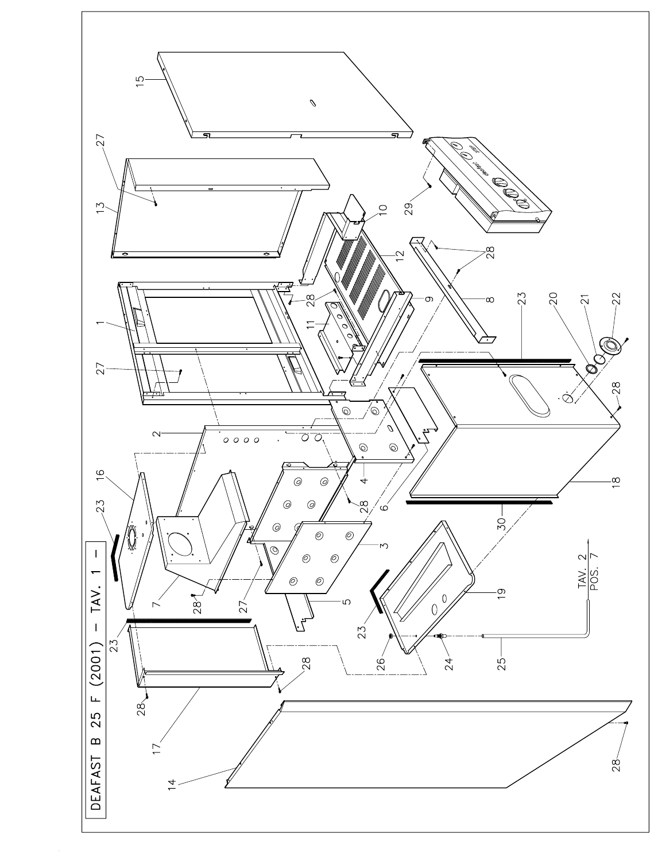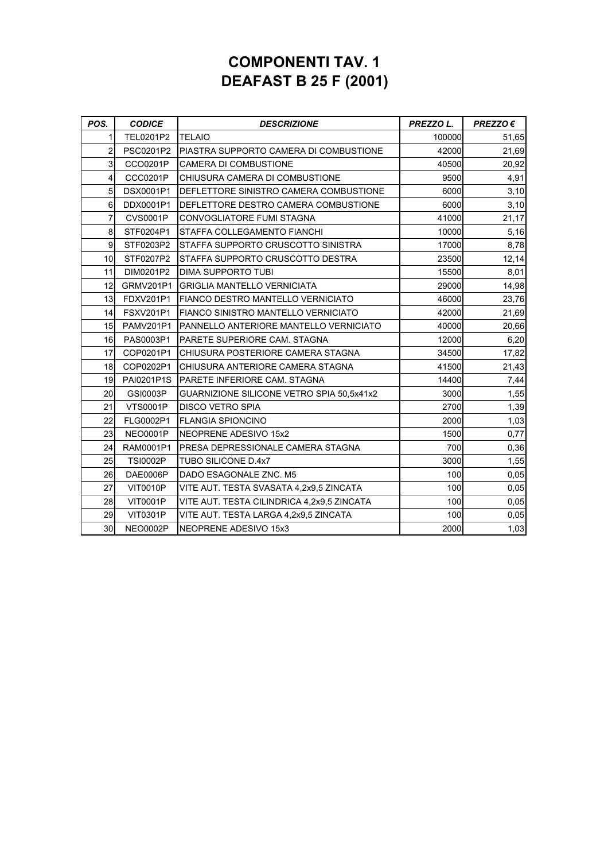## **COMPONENTI TAV. 1 DEAFAST B 25 F (2001)**

| POS.           | <b>CODICE</b>    | <b>DESCRIZIONE</b>                         | PREZZO L. | $PREZZO \in$ |
|----------------|------------------|--------------------------------------------|-----------|--------------|
| 1              | TEL0201P2        | <b>TELAIO</b>                              | 100000    | 51,65        |
| $\overline{2}$ | PSC0201P2        | PIASTRA SUPPORTO CAMERA DI COMBUSTIONE     | 42000     | 21,69        |
| 3              | CCO0201P         | CAMERA DI COMBUSTIONE                      | 40500     | 20,92        |
| 4              | CCC0201P         | CHIUSURA CAMERA DI COMBUSTIONE             | 9500      | 4,91         |
| 5              | DSX0001P1        | DEFLETTORE SINISTRO CAMERA COMBUSTIONE     | 6000      | 3,10         |
| 6              | DDX0001P1        | DEFLETTORE DESTRO CAMERA COMBUSTIONE       | 6000      | 3,10         |
| $\overline{7}$ | <b>CVS0001P</b>  | <b>CONVOGLIATORE FUMI STAGNA</b>           | 41000     | 21,17        |
| 8              | STF0204P1        | STAFFA COLLEGAMENTO FIANCHI                | 10000     | 5,16         |
| 9              | STF0203P2        | STAFFA SUPPORTO CRUSCOTTO SINISTRA         | 17000     | 8,78         |
| 10             | STF0207P2        | STAFFA SUPPORTO CRUSCOTTO DESTRA           | 23500     | 12,14        |
| 11             | DIM0201P2        | DIMA SUPPORTO TUBI                         | 15500     | 8,01         |
| 12             | <b>GRMV201P1</b> | <b>GRIGLIA MANTELLO VERNICIATA</b>         | 29000     | 14,98        |
| 13             | <b>FDXV201P1</b> | <b>FIANCO DESTRO MANTELLO VERNICIATO</b>   | 46000     | 23,76        |
| 14             | <b>FSXV201P1</b> | FIANCO SINISTRO MANTELLO VERNICIATO        | 42000     | 21,69        |
| 15             | <b>PAMV201P1</b> | PANNELLO ANTERIORE MANTELLO VERNICIATO     | 40000     | 20,66        |
| 16             | PAS0003P1        | PARETE SUPERIORE CAM. STAGNA               | 12000     | 6,20         |
| 17             | COP0201P1        | CHIUSURA POSTERIORE CAMERA STAGNA          | 34500     | 17,82        |
| 18             | COP0202P1        | CHIUSURA ANTERIORE CAMERA STAGNA           | 41500     | 21,43        |
| 19             | PAI0201P1S       | PARETE INFERIORE CAM. STAGNA               | 14400     | 7,44         |
| 20             | GSI0003P         | GUARNIZIONE SILICONE VETRO SPIA 50,5x41x2  | 3000      | 1,55         |
| 21             | <b>VTS0001P</b>  | DISCO VETRO SPIA                           | 2700      | 1,39         |
| 22             | FLG0002P1        | <b>FLANGIA SPIONCINO</b>                   | 2000      | 1,03         |
| 23             | <b>NEO0001P</b>  | NEOPRENE ADESIVO 15x2                      | 1500      | 0,77         |
| 24             | RAM0001P1        | PRESA DEPRESSIONALE CAMERA STAGNA          | 700       | 0,36         |
| 25             | <b>TSI0002P</b>  | <b>TUBO SILICONE D.4x7</b>                 | 3000      | 1,55         |
| 26             | <b>DAE0006P</b>  | DADO ESAGONALE ZNC. M5                     | 100       | 0,05         |
| 27             | <b>VIT0010P</b>  | VITE AUT. TESTA SVASATA 4,2x9,5 ZINCATA    | 100       | 0,05         |
| 28             | <b>VIT0001P</b>  | VITE AUT. TESTA CILINDRICA 4,2x9,5 ZINCATA | 100       | 0,05         |
| 29             | <b>VIT0301P</b>  | VITE AUT. TESTA LARGA 4,2x9,5 ZINCATA      | 100       | 0,05         |
| 30             | <b>NEO0002P</b>  | NEOPRENE ADESIVO 15x3                      | 2000      | 1,03         |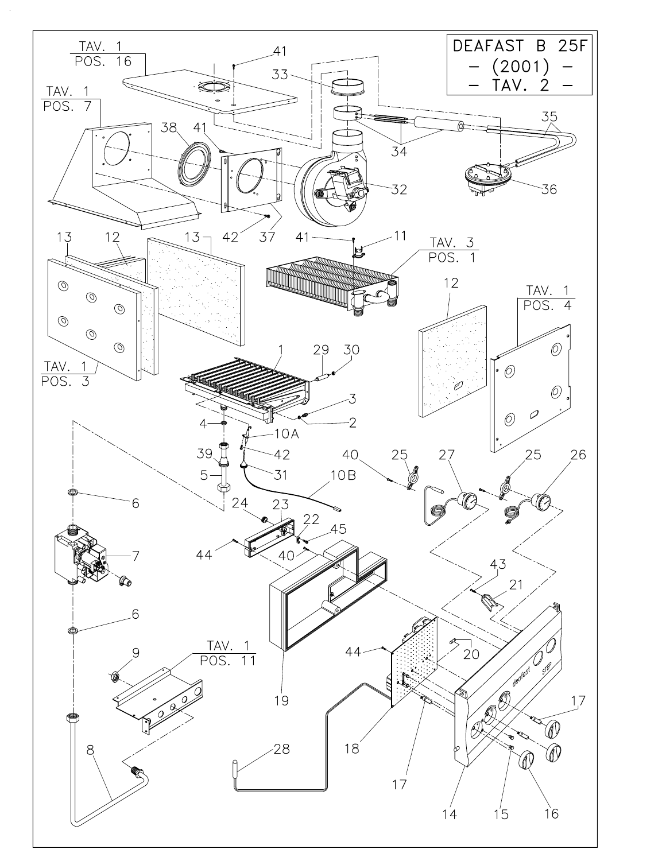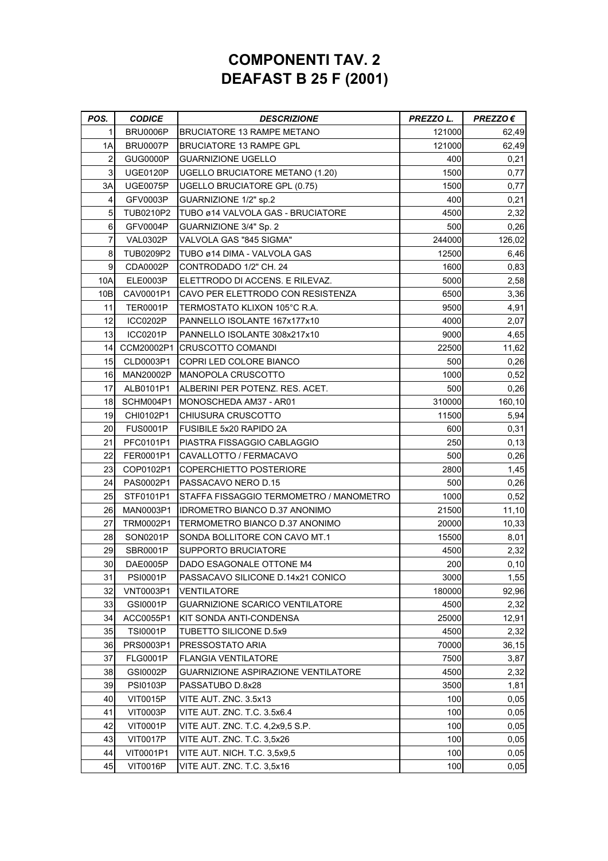## **COMPONENTI TAV. 2 DEAFAST B 25 F (2001)**

| POS. | <b>CODICE</b>    | <b>DESCRIZIONE</b>                      | PREZZO L. | $PREZZO \in$ |
|------|------------------|-----------------------------------------|-----------|--------------|
| 1    | <b>BRU0006P</b>  | <b>BRUCIATORE 13 RAMPE METANO</b>       | 121000    | 62,49        |
| 1Α   | <b>BRU0007P</b>  | <b>BRUCIATORE 13 RAMPE GPL</b>          | 121000    | 62,49        |
| 2    | GUG0000P         | <b>GUARNIZIONE UGELLO</b>               | 400       | 0,21         |
| 3    | <b>UGE0120P</b>  | <b>UGELLO BRUCIATORE METANO (1.20)</b>  | 1500      | 0,77         |
| 3A   | <b>UGE0075P</b>  | <b>UGELLO BRUCIATORE GPL (0.75)</b>     | 1500      | 0,77         |
| 4    | GFV0003P         | GUARNIZIONE 1/2" sp.2                   | 400       | 0,21         |
| 5    | TUB0210P2        | TUBO ø14 VALVOLA GAS - BRUCIATORE       | 4500      | 2,32         |
| 6    | GFV0004P         | GUARNIZIONE 3/4" Sp. 2                  | 500       | 0,26         |
| 7    | VAL0302P         | VALVOLA GAS "845 SIGMA"                 | 244000    | 126,02       |
| 8    | TUB0209P2        | TUBO ø14 DIMA - VALVOLA GAS             | 12500     | 6,46         |
| 9    | CDA0002P         | CONTRODADO 1/2" CH. 24                  | 1600      | 0,83         |
| 10A  | ELE0003P         | ELETTRODO DI ACCENS. E RILEVAZ.         | 5000      | 2,58         |
| 10B  | CAV0001P1        | CAVO PER ELETTRODO CON RESISTENZA       | 6500      | 3,36         |
| 11   | <b>TER0001P</b>  | TERMOSTATO KLIXON 105°C R.A.            | 9500      | 4,91         |
| 12   | ICC0202P         | PANNELLO ISOLANTE 167x177x10            | 4000      | 2,07         |
| 13   | <b>ICC0201P</b>  | PANNELLO ISOLANTE 308x217x10            | 9000      | 4,65         |
| 14   |                  | CCM20002P1 CRUSCOTTO COMANDI            | 22500     | 11,62        |
| 15   | CLD0003P1        | COPRI LED COLORE BIANCO                 | 500       | 0,26         |
| 16   | MAN20002P        | <b>MANOPOLA CRUSCOTTO</b>               | 1000      | 0,52         |
| 17   | ALB0101P1        | ALBERINI PER POTENZ. RES. ACET.         | 500       | 0,26         |
| 18   | SCHM004P1        | IMONOSCHEDA AM37 - AR01                 | 310000    | 160,10       |
| 19   | CHI0102P1        | CHIUSURA CRUSCOTTO                      | 11500     | 5,94         |
| 20   | <b>FUS0001P</b>  | <b>FUSIBILE 5x20 RAPIDO 2A</b>          | 600       | 0,31         |
| 21   | PFC0101P1        | PIASTRA FISSAGGIO CABLAGGIO             | 250       | 0, 13        |
| 22   | FER0001P1        | CAVALLOTTO / FERMACAVO                  | 500       | 0,26         |
| 23   | COP0102P1        | COPERCHIETTO POSTERIORE                 | 2800      | 1,45         |
| 24   | PAS0002P1        | PASSACAVO NERO D.15                     | 500       | 0,26         |
| 25   | STF0101P1        | STAFFA FISSAGGIO TERMOMETRO / MANOMETRO | 1000      | 0,52         |
| 26   | MAN0003P1        | <b>IDROMETRO BIANCO D.37 ANONIMO</b>    | 21500     | 11,10        |
| 27   | TRM0002P1        | TERMOMETRO BIANCO D.37 ANONIMO          | 20000     | 10,33        |
| 28   | SON0201P         | SONDA BOLLITORE CON CAVO MT.1           | 15500     | 8,01         |
| 29   | SBR0001P         | SUPPORTO BRUCIATORE                     | 4500      | 2,32         |
| 30   | DAE0005P         | DADO ESAGONALE OTTONE M4                | 200       | 0, 10        |
| 31   | <b>PSI0001P</b>  | PASSACAVO SILICONE D.14x21 CONICO       | 3000      | 1,55         |
| 32   | <b>VNT0003P1</b> | VENTILATORE                             | 180000    | 92,96        |
| 33   | GSI0001P         | GUARNIZIONE SCARICO VENTILATORE         | 4500      | 2,32         |
| 34   | ACC0055P1        | KIT SONDA ANTI-CONDENSA                 | 25000     | 12,91        |
| 35   | <b>TSI0001P</b>  | TUBETTO SILICONE D.5x9                  | 4500      | 2,32         |
| 36   | PRS0003P1        | PRESSOSTATO ARIA                        | 70000     | 36,15        |
| 37   | <b>FLG0001P</b>  | <b>FLANGIA VENTILATORE</b>              | 7500      | 3,87         |
| 38   | GSI0002P         | GUARNIZIONE ASPIRAZIONE VENTILATORE     | 4500      | 2,32         |
| 39   | <b>PSI0103P</b>  | PASSATUBO D.8x28                        | 3500      | 1,81         |
| 40   | <b>VIT0015P</b>  | VITE AUT. ZNC. 3.5x13                   | 100       | 0,05         |
| 41   | <b>VIT0003P</b>  | VITE AUT. ZNC. T.C. 3.5x6.4             | 100       | 0,05         |
| 42   | <b>VIT0001P</b>  | VITE AUT. ZNC. T.C. 4,2x9,5 S.P.        | 100       | 0,05         |
| 43   | <b>VIT0017P</b>  | VITE AUT. ZNC. T.C. 3,5x26              | 100       | 0,05         |
| 44   | VIT0001P1        | VITE AUT. NICH. T.C. 3,5x9,5            | 100       | 0,05         |
| 45   | <b>VIT0016P</b>  | VITE AUT. ZNC. T.C. 3,5x16              | 100       | 0,05         |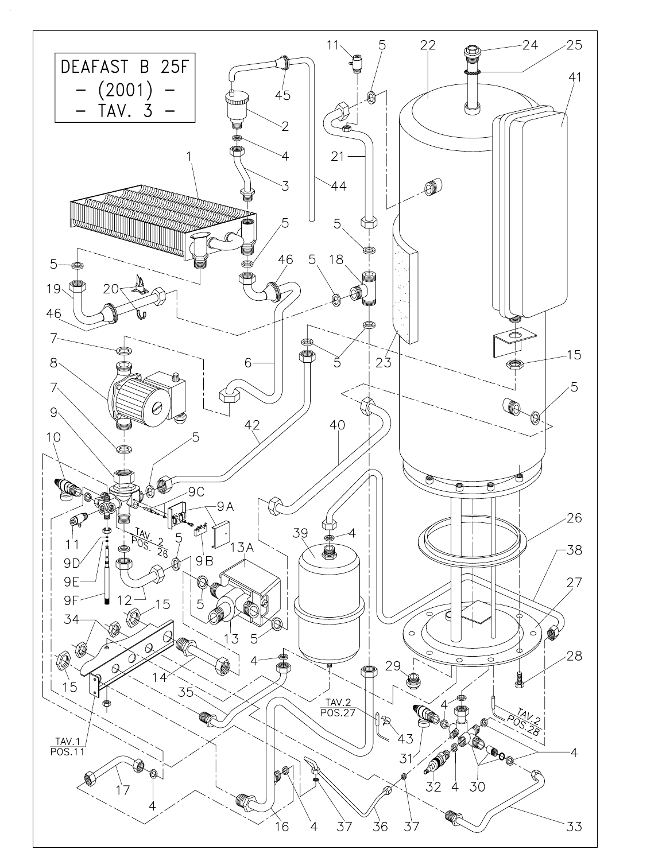